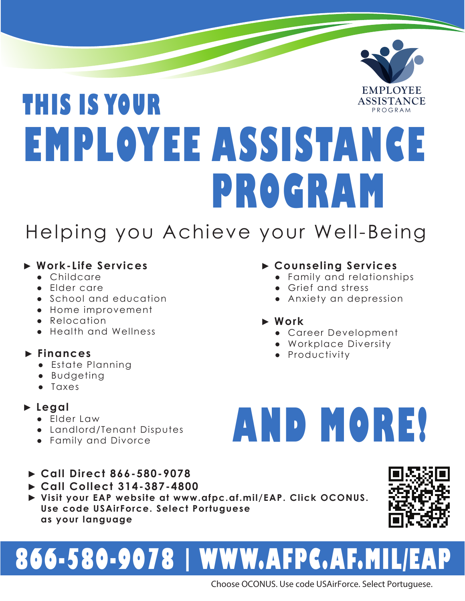### **THIS IS YOUR EMPLOYEE ASSISTANCE EMPLOYEE** PROGRAM **ASSISTANCE PROGRAM**

### Helping you Achieve your Well-Being

### ► **Work-Life Services**

- Childcare
- Elder care
- School and education
- Home improvement
- Relocation
- Health and Wellness

### ► **Finances**

- Estate Planning
- Budgeting
- Taxes

- Elder Law
- Landlord/Tenant Disputes
- Family and Divorce
- ► **Call Direct 866-580-9078**
- ► **Call Collect 314-387-4800**
- ► **Visit your EAP website at www.afpc.af.mil/EAP. Click OCONUS. Use code USAirForce. Select Portuguese as your language**

## **866-580-9078 | WWW.AFPC.AF.MIL/EAP**

Choose OCONUS. Use code USAirForce. Select Portuguese.

### ► **Counseling Services**

- Family and relationships
- Grief and stress
- Anxiety an depression

### ► **Work**

- Career Development
- Workplace Diversity
- Productivity

# **AND MORE!** ► **Legal**



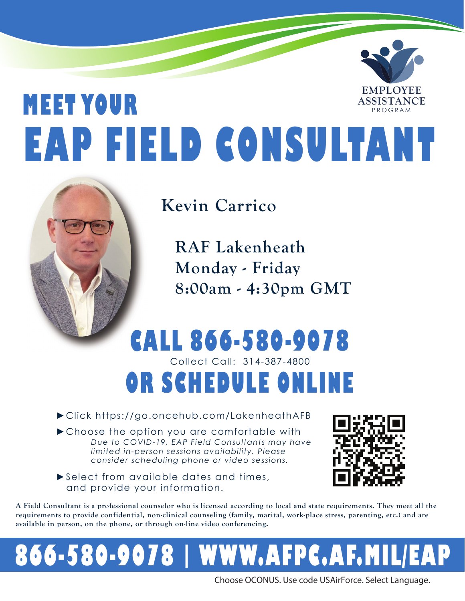### **MEET YOUR EAP FIELD CONSULTANT EMPLOYEE** PROGRAM **ASSISTANCE**



**Kevin Carrico**

**RAF Lakenheath Monday - Friday 8:00am - 4:30pm GMT**

### **CALL 866-580-9078** Collect Call: 314-387-4800 **OR SCHEDULE ONLINE**

►Click https://go.oncehub.com/LakenheathAFB

►Choose the option you are comfortable with *Due to COVID-19, EAP Field Consultants may have limited in-person sessions availability. Please consider scheduling phone or video sessions.*

►Select from available dates and times, and provide your information.



**A Field Consultant is a professional counselor who is licensed according to local and state requirements. They meet all the requirements to provide confidential, non-clinical counseling (family, marital, work-place stress, parenting, etc.) and are available in person, on the phone, or through on-line video conferencing.** 

## **866-580-9078 | WWW.AFPC.AF.MIL/EAP**

Choose OCONUS. Use code USAirForce. Select Language.